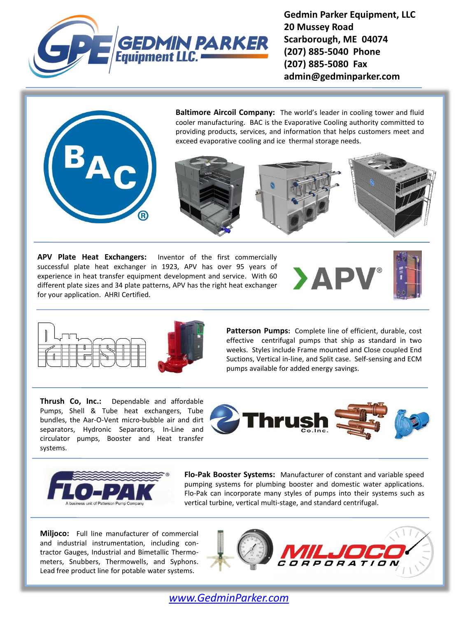

**Gedmin Parker Equipment, LLC 20 Mussey Road Scarborough, ME 04074 (207) 885-5040 Phone (207) 885-5080 Fax admin@gedminparker.com**



**APV Plate Heat Exchangers:** Inventor of the first commercially successful plate heat exchanger in 1923, APV has over 95 years of experience in heat transfer equipment development and service. With 60 different plate sizes and 34 plate patterns, APV has the right heat exchanger for your application. AHRI Certified.







effective centrifugal pumps that ship as standard in two<br>weeks, Styles include Frame mounted and Close counled End **Patterson Pumps:** Complete line of efficient, durable, cost weeks. Styles include Frame mounted and Close coupled End Suctions, Vertical in-line, and Split case. Self-sensing and ECM pumps available for added energy savings.

**Thrush Co, Inc.:** Dependable and affordable Pumps, Shell & Tube heat exchangers, Tube bundles, the Aar-O-Vent micro-bubble air and dirt separators, Hydronic Separators, In-Line and circulator pumps, Booster and Heat transfer systems.





**Flo-Pak Booster Systems:** Manufacturer of constant and variable speed pumping systems for plumbing booster and domestic water applications. Flo-Pak can incorporate many styles of pumps into their systems such as vertical turbine, vertical multi-stage, and standard centrifugal.

**Miljoco:** Full line manufacturer of commercial and industrial instrumentation, including contractor Gauges, Industrial and Bimetallic Thermometers, Snubbers, Thermowells, and Syphons. Lead free product line for potable water systems.